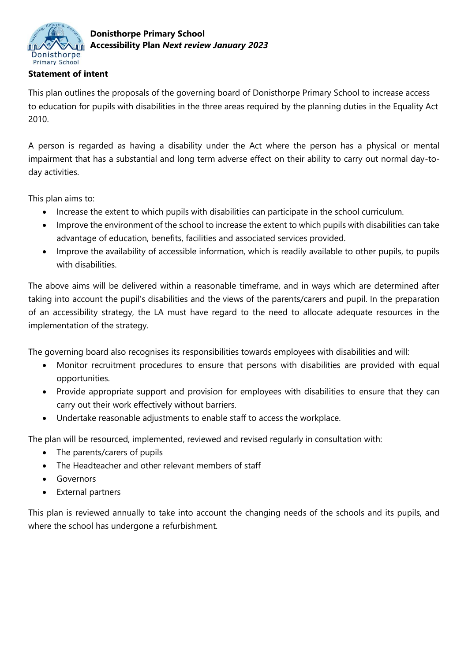

## **Statement of intent**

This plan outlines the proposals of the governing board of Donisthorpe Primary School to increase access to education for pupils with disabilities in the three areas required by the planning duties in the Equality Act 2010.

A person is regarded as having a disability under the Act where the person has a physical or mental impairment that has a substantial and long term adverse effect on their ability to carry out normal day-today activities.

This plan aims to:

- Increase the extent to which pupils with disabilities can participate in the school curriculum.
- Improve the environment of the school to increase the extent to which pupils with disabilities can take advantage of education, benefits, facilities and associated services provided.
- Improve the availability of accessible information, which is readily available to other pupils, to pupils with disabilities.

The above aims will be delivered within a reasonable timeframe, and in ways which are determined after taking into account the pupil's disabilities and the views of the parents/carers and pupil. In the preparation of an accessibility strategy, the LA must have regard to the need to allocate adequate resources in the implementation of the strategy.

The governing board also recognises its responsibilities towards employees with disabilities and will:

- Monitor recruitment procedures to ensure that persons with disabilities are provided with equal opportunities.
- Provide appropriate support and provision for employees with disabilities to ensure that they can carry out their work effectively without barriers.
- Undertake reasonable adjustments to enable staff to access the workplace.

The plan will be resourced, implemented, reviewed and revised regularly in consultation with:

- The parents/carers of pupils
- The Headteacher and other relevant members of staff
- **Governors**
- External partners

This plan is reviewed annually to take into account the changing needs of the schools and its pupils, and where the school has undergone a refurbishment.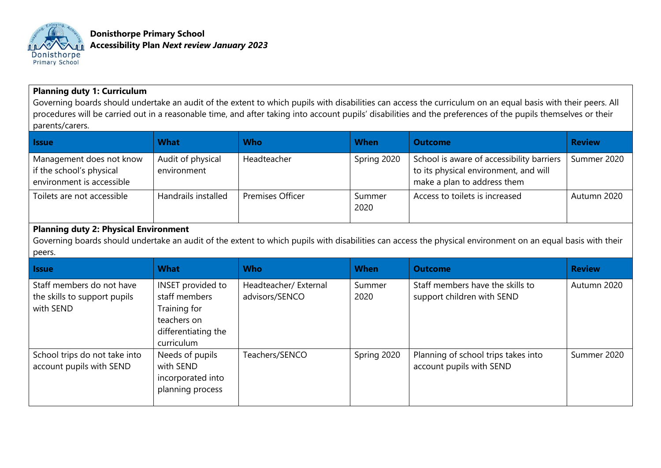

**Donisthorpe Primary School Accessibility Plan** *Next review January 2023*

## **Planning duty 1: Curriculum**

Governing boards should undertake an audit of the extent to which pupils with disabilities can access the curriculum on an equal basis with their peers. All procedures will be carried out in a reasonable time, and after taking into account pupils' disabilities and the preferences of the pupils themselves or their parents/carers.

| <b>Issue</b>                                                                                                                                                                                                          | <b>What</b>                        | <b>Who</b>                              | <b>When</b>    | <b>Outcome</b>                                                                                                    | <b>Review</b> |  |  |  |
|-----------------------------------------------------------------------------------------------------------------------------------------------------------------------------------------------------------------------|------------------------------------|-----------------------------------------|----------------|-------------------------------------------------------------------------------------------------------------------|---------------|--|--|--|
| Management does not know<br>if the school's physical<br>environment is accessible                                                                                                                                     | Audit of physical<br>environment   | Headteacher                             | Spring 2020    | School is aware of accessibility barriers<br>to its physical environment, and will<br>make a plan to address them | Summer 2020   |  |  |  |
| Toilets are not accessible                                                                                                                                                                                            | Handrails installed                | <b>Premises Officer</b>                 | Summer<br>2020 | Access to toilets is increased                                                                                    | Autumn 2020   |  |  |  |
| <b>Planning duty 2: Physical Environment</b><br>Governing boards should undertake an audit of the extent to which pupils with disabilities can access the physical environment on an equal basis with their<br>peers. |                                    |                                         |                |                                                                                                                   |               |  |  |  |
| <b>Issue</b>                                                                                                                                                                                                          | <b>What</b>                        | <b>Who</b>                              | <b>When</b>    | <b>Outcome</b>                                                                                                    | <b>Review</b> |  |  |  |
| Staff members do not have<br>the skills to support pupils                                                                                                                                                             | INSET provided to<br>staff members | Headteacher/ External<br>advisors/SENCO | Summer<br>2020 | Staff members have the skills to<br>support children with SEND                                                    | Autumn 2020   |  |  |  |

| <b>Issue</b>                                                           | <b>What</b>                                                                                            | <b>Who</b>                              | <b>When</b>    | <b>Outcome</b>                                                  | <b>Review</b> |
|------------------------------------------------------------------------|--------------------------------------------------------------------------------------------------------|-----------------------------------------|----------------|-----------------------------------------------------------------|---------------|
| Staff members do not have<br>the skills to support pupils<br>with SEND | INSET provided to<br>staff members<br>Training for<br>teachers on<br>differentiating the<br>curriculum | Headteacher/ External<br>advisors/SENCO | Summer<br>2020 | Staff members have the skills to<br>support children with SEND  | Autumn 2020   |
| School trips do not take into<br>account pupils with SEND              | Needs of pupils<br>with SEND<br>incorporated into<br>planning process                                  | Teachers/SENCO                          | Spring 2020    | Planning of school trips takes into<br>account pupils with SEND | Summer 2020   |